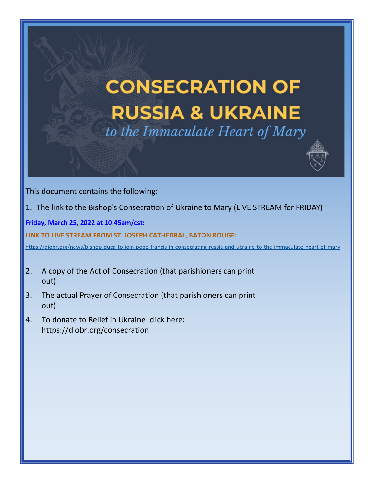# **CONSECRATION OF RUSSIA & UKRAINE** to the Immaculate Heart of Mary



This document contains the following:

1. The link to the Bishop's Consecration of Ukraine to Mary (LIVE STREAM for FRIDAY)

**Friday, March 25, 2022 at 10:45am/cst:**

#### **LINK TO LIVE STREAM FROM ST. JOSEPH CATHEDRAL, BATON ROUGE:**

[https://diobr.org/news/bishop](https://diobr.org/news/bishop-duca-to-join-pope-francis-in-consecrating-russia-and-ukraine-to-the-immaculate-heart-of-mary)-duca-to-join-pope-francis-in-consecrating-russia-and-ukraine-to-the-immaculate-heart-of-mary

- 2. A copy of the Act of Consecration (that parishioners can print out)
- 3. The actual Prayer of Consecration (that parishioners can print out)
- 4. To donate to Relief in Ukraine click here: https://diobr.org/consecration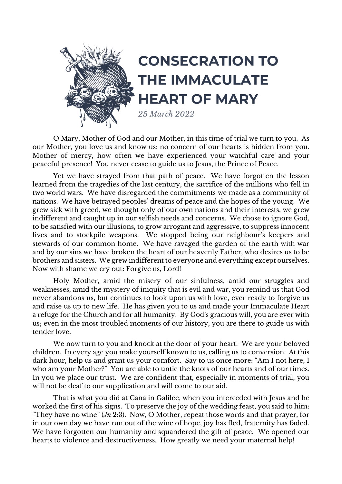

O Mary, Mother of God and our Mother, in this time of trial we turn to you. As our Mother, you love us and know us: no concern of our hearts is hidden from you. Mother of mercy, how often we have experienced your watchful care and your peaceful presence! You never cease to guide us to Jesus, the Prince of Peace.

Yet we have strayed from that path of peace. We have forgotten the lesson learned from the tragedies of the last century, the sacrifice of the millions who fell in two world wars. We have disregarded the commitments we made as a community of nations. We have betrayed peoples' dreams of peace and the hopes of the young. We grew sick with greed, we thought only of our own nations and their interests, we grew indifferent and caught up in our selfish needs and concerns. We chose to ignore God, to be satisfied with our illusions, to grow arrogant and aggressive, to suppress innocent lives and to stockpile weapons. We stopped being our neighbour's keepers and stewards of our common home. We have ravaged the garden of the earth with war and by our sins we have broken the heart of our heavenly Father, who desires us to be brothers and sisters. We grew indifferent to everyone and everything except ourselves. Now with shame we cry out: Forgive us, Lord!

Holy Mother, amid the misery of our sinfulness, amid our struggles and weaknesses, amid the mystery of iniquity that is evil and war, you remind us that God never abandons us, but continues to look upon us with love, ever ready to forgive us and raise us up to new life. He has given you to us and made your Immaculate Heart a refuge for the Church and for all humanity. By God's gracious will, you are ever with us; even in the most troubled moments of our history, you are there to guide us with tender love.

We now turn to you and knock at the door of your heart. We are your beloved children. In every age you make yourself known to us, calling us to conversion. At this dark hour, help us and grant us your comfort. Say to us once more: "Am I not here, I who am your Mother?" You are able to untie the knots of our hearts and of our times. In you we place our trust. We are confident that, especially in moments of trial, you will not be deaf to our supplication and will come to our aid.

That is what you did at Cana in Galilee, when you interceded with Jesus and he worked the first of his signs. To preserve the joy of the wedding feast, you said to him: "They have no wine" (*Jn* 2:3). Now, O Mother, repeat those words and that prayer, for in our own day we have run out of the wine of hope, joy has fled, fraternity has faded. We have forgotten our humanity and squandered the gift of peace. We opened our hearts to violence and destructiveness. How greatly we need your maternal help!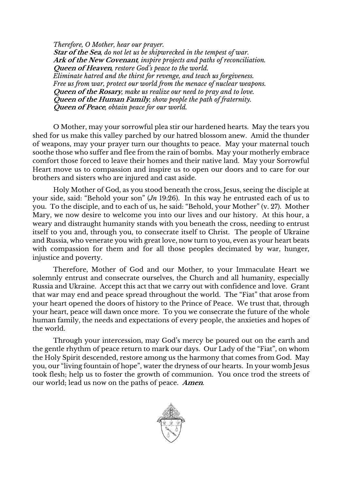*Therefore, O Mother, hear our prayer.* **Star of the Sea***, do not let us be shipwrecked in the tempest of war.* **Ark of the New Covenant***, inspire projects and paths of reconciliation.* **Queen of Heaven***, restore God's peace to the world. Eliminate hatred and the thirst for revenge, and teach us forgiveness. Free us from war, protect our world from the menace of nuclear weapons.* **Queen of the Rosary***, make us realize our need to pray and to love.* **Queen of the Human Family***, show people the path of fraternity.* **Queen of Peace***, obtain peace for our world.*

O Mother, may your sorrowful plea stir our hardened hearts. May the tears you shed for us make this valley parched by our hatred blossom anew. Amid the thunder of weapons, may your prayer turn our thoughts to peace. May your maternal touch soothe those who suffer and flee from the rain of bombs. May your motherly embrace comfort those forced to leave their homes and their native land. May your Sorrowful Heart move us to compassion and inspire us to open our doors and to care for our brothers and sisters who are injured and cast aside.

Holy Mother of God, as you stood beneath the cross, Jesus, seeing the disciple at your side, said: "Behold your son" (*Jn* 19:26). In this way he entrusted each of us to you. To the disciple, and to each of us, he said: "Behold, your Mother" (v. 27). Mother Mary, we now desire to welcome you into our lives and our history. At this hour, a weary and distraught humanity stands with you beneath the cross, needing to entrust itself to you and, through you, to consecrate itself to Christ. The people of Ukraine and Russia, who venerate you with great love, now turn to you, even as your heart beats with compassion for them and for all those peoples decimated by war, hunger, injustice and poverty.

Therefore, Mother of God and our Mother, to your Immaculate Heart we solemnly entrust and consecrate ourselves, the Church and all humanity, especially Russia and Ukraine. Accept this act that we carry out with confidence and love. Grant that war may end and peace spread throughout the world. The "Fiat" that arose from your heart opened the doors of history to the Prince of Peace. We trust that, through your heart, peace will dawn once more. To you we consecrate the future of the whole human family, the needs and expectations of every people, the anxieties and hopes of the world.

Through your intercession, may God's mercy be poured out on the earth and the gentle rhythm of peace return to mark our days. Our Lady of the "Fiat", on whom the Holy Spirit descended, restore among us the harmony that comes from God. May you, our "living fountain of hope", water the dryness of our hearts. In your womb Jesus took flesh; help us to foster the growth of communion. You once trod the streets of our world; lead us now on the paths of peace. **Amen**.